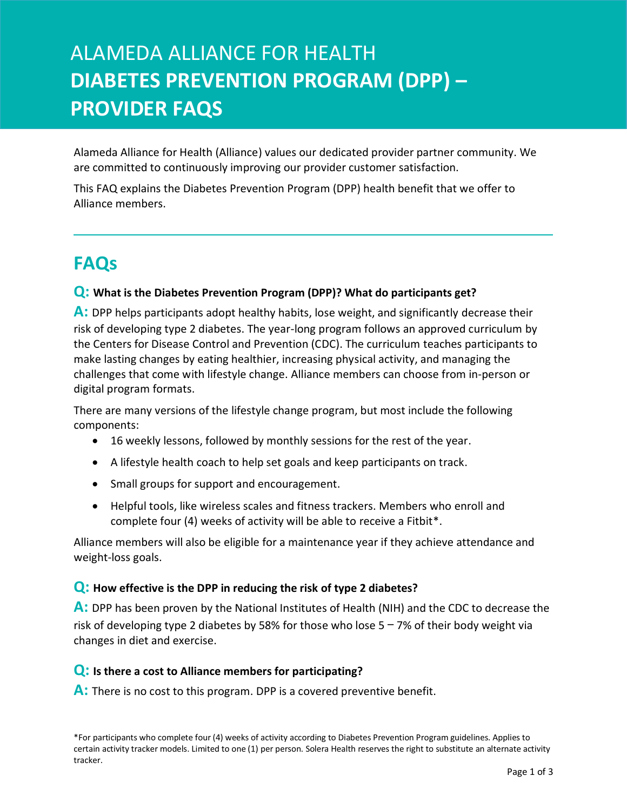# ALAMEDA ALLIANCE FOR HEALTH **DIABETES PREVENTION PROGRAM (DPP) – PROVIDER FAQS**

Alameda Alliance for Health (Alliance) values our dedicated provider partner community. We are committed to continuously improving our provider customer satisfaction.

This FAQ explains the Diabetes Prevention Program (DPP) health benefit that we offer to Alliance members.

# **FAQs**

# **Q: What is the Diabetes Prevention Program (DPP)? What do participants get?**

**A:** DPP helps participants adopt healthy habits, lose weight, and significantly decrease their risk of developing type 2 diabetes. The year-long program follows an approved curriculum by the Centers for Disease Control and Prevention (CDC). The curriculum teaches participants to make lasting changes by eating healthier, increasing physical activity, and managing the challenges that come with lifestyle change. Alliance members can choose from in-person or digital program formats.

There are many versions of the lifestyle change program, but most include the following components:

- 16 weekly lessons, followed by monthly sessions for the rest of the year.
- A lifestyle health coach to help set goals and keep participants on track.
- Small groups for support and encouragement.
- Helpful tools, like wireless scales and fitness trackers. Members who enroll and complete four (4) weeks of activity will be able to receive a Fitbit\*.

Alliance members will also be eligible for a maintenance year if they achieve attendance and weight-loss goals.

# **Q: How effective is the DPP in reducing the risk of type 2 diabetes?**

**A:** DPP has been proven by the National Institutes of Health (NIH) and the CDC to decrease the risk of developing type 2 diabetes by 58% for those who lose  $5 - 7$ % of their body weight via changes in diet and exercise.

# **Q: Is there a cost to Alliance members for participating?**

**A:** There is no cost to this program. DPP is a covered preventive benefit.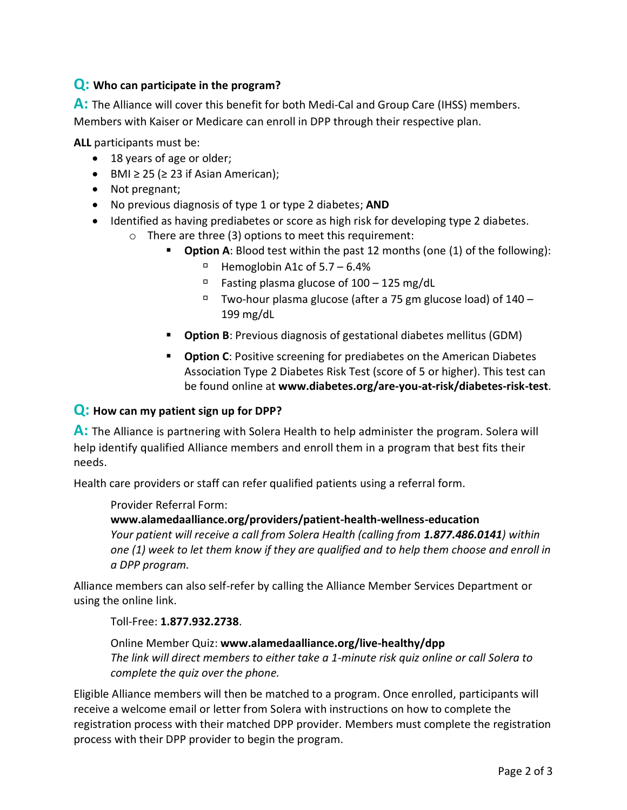# **Q: Who can participate in the program?**

**A:** The Alliance will cover this benefit for both Medi-Cal and Group Care (IHSS) members. Members with Kaiser or Medicare can enroll in DPP through their respective plan.

**ALL** participants must be:

- 18 years of age or older;
- BMI  $\geq$  25 ( $\geq$  23 if Asian American);
- Not pregnant;
- No previous diagnosis of type 1 or type 2 diabetes; **AND**
- Identified as having prediabetes or score as high risk for developing type 2 diabetes.
	- o There are three (3) options to meet this requirement:
		- **Dption A**: Blood test within the past 12 months (one (1) of the following):
			- $\Box$  Hemoglobin A1c of 5.7 6.4%
			- $P$  Fasting plasma glucose of 100 125 mg/dL
			- $\Box$  Two-hour plasma glucose (after a 75 gm glucose load) of  $140 -$ 199 mg/dL
		- **Option B**: Previous diagnosis of gestational diabetes mellitus (GDM)
		- **Diamorm C**: Positive screening for prediabetes on the American Diabetes Association Type 2 Diabetes Risk Test (score of 5 or higher). This test can be found online at **www.diabetes.org/are-you-at-risk/diabetes-risk-test**.

#### **Q: How can my patient sign up for DPP?**

**A:** The Alliance is partnering with Solera Health to help administer the program. Solera will help identify qualified Alliance members and enroll them in a program that best fits their needs.

Health care providers or staff can refer qualified patients using a referral form.

#### Provider Referral Form:

**www.alamedaalliance.org/providers/patient-health-wellness-education** *Your patient will receive a call from Solera Health (calling from 1.877.486.0141) within one (1) week to let them know if they are qualified and to help them choose and enroll in a DPP program.*

Alliance members can also self-refer by calling the Alliance Member Services Department or using the online link.

#### Toll-Free: **1.877.932.2738**.

Online Member Quiz: **[www.alamedaalliance.org/live-healthy/dpp](https://www.alamedaalliance.org/live-healthy/dpp)** *The link will direct members to either take a 1-minute risk quiz online or call Solera to complete the quiz over the phone.*

Eligible Alliance members will then be matched to a program. Once enrolled, participants will receive a welcome email or letter from Solera with instructions on how to complete the registration process with their matched DPP provider. Members must complete the registration process with their DPP provider to begin the program.